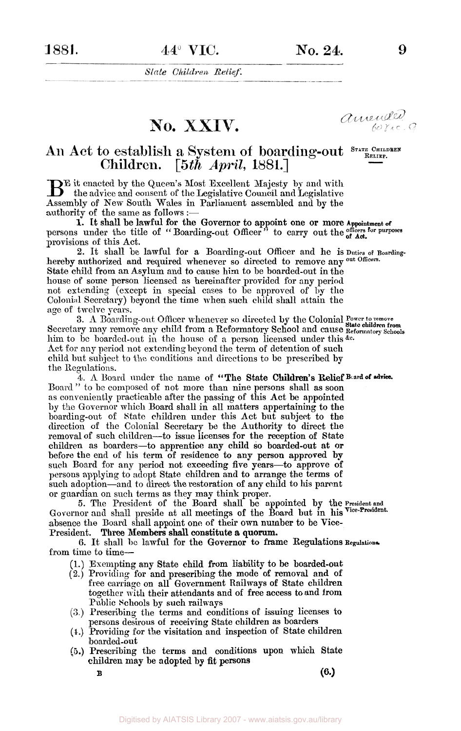State Children Relief.

No. XXIV.

amended.

9

## **An Act to** establish **a** System **of boarding-out STATE CHILDREN RELIEF. Children.** *[5th April,* 1881.]

BE it enacted by the Queen's Most Excellent Majesty by and with the advice and consent of the Legislative Council and Legislative Assembly of New South Wales in Parliament assembled and by the authority of the same as follows :-

1. It shall be lawful for the Governor to appoint one or more Appointment of persons under the title of "Boarding-out Officer" to carry out the of Act. provisions of this Act. **of Act.** 

**2.** It shall be lawful for a Boarding-out Officer and he is **Duties of Boarding**hereby authorized and required whenever so directed to remove any <sup>out Officers.</sup> State child from an Asylum and to cause him to be boarded-out in the house of some person licensed as hereinafter provided for any period not extending (except in special cases to be approved of by the Colonial Secretary) beyond the time when such child shall attain the age of twelve years.

Secretary may remove any child from a Reformatory School and cause **Reformatory schools**  him to be boarded-out in the house of a person licensed under this &c. Act for any period not extending beyond the term of detention of such child but subject to the conditions and directions to be prescribed by the Regulations **3.** A Boarding-out Officer whenever so directed by the Colonial Power to remove

 $\tilde{A}$ . A Board under the name of "The State Children's Relief Beard of advice. Board " to be composed of not more than nine persons shall as soon as conveniently practicable after the passing of this Act be appointed by the Governor which Board shall in all matters appertaining to the boarding-out of State children under this Act but subject to the direction of the Colonial Secretary be the Authority to direct the removal of such children-to issue licenses for the reception **of** State children **as** boarders-to apprentice any child *so* boarded-out at **or**  before the end of his term of residence to any person approved **by**  such Board for any period not exceeding five years-to approve of persons applying to adopt State children and to arrange the terms **of**  such adoption—and to direct the restoration of any child to his parent or guardian on such terms as they may think proper.

Governor and shall preside at all meetings of the Board but in his Vice-President. absence the Board shall appoint one of their own number to be Vice-*5.* The President of the Board shall be appointed by the **President and** 

President. Three Members shall constitute a quorum.

from time to time-**6.** It shall be lawful for the Governor to frame Regulations Regulations

- Exempting any State child from liability to be boarded-out
- Providing for and prescribing the mode **of** removal and **of**  free carriage on all Government Railways **of** State children together with their attendants and **of** free access to and from Public Schools by such railways
- Prescribing the terms and conditions of issuing licenses **to**  persons desirous **of** receiving State children **as** boarders
- Providing for the visitation and inspection of State children boarded-out
- Prescribing the terms and conditions upon **which State**  children may be adopted by **fit** persons

**B (6.)**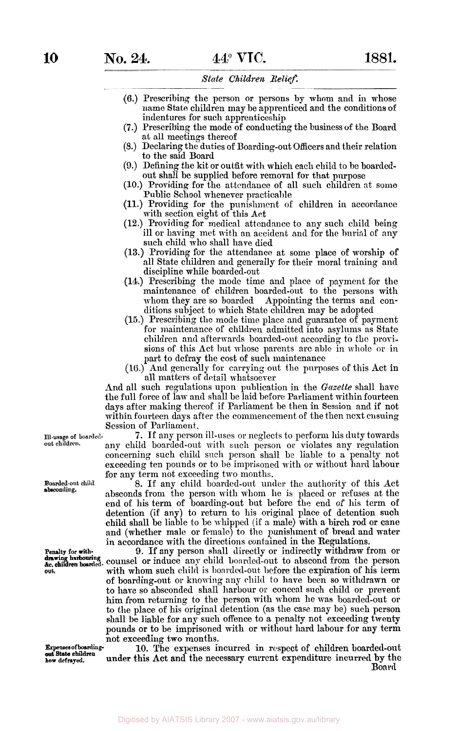## *State Children Relief.*

- **(6.)** Prescribing the person or persons by whom and **in** whose name State children may be apprenticed and the conditions of indentures for such apprenticeship
- **(7.)** Prescribing the mode of conducting the business of the Board at all meetings thereof
- (8.) Declaring the duties of Boarding-out Officers and their relation to the said Board
- **(9.)** Defining the kit or outfit with which each child to be boardedout shall be supplied before removal for that purpose
- **(10.)** Providing for the attendance of all such children at some Public School whenever practicable
- (11.) Providing for the punishment of children in accordance with section eight of this Act
- **(12.)** Providing for medical attendance to any such child being ill or having met with an accident and for the burial of any such child who shall have died
- **(13.)** Providing for the attendance at some place of worship **of**  all State children and generally for their moral training and discipline while boarded-out
- **(14.)** Prescribing the mode time and place of payment for the maintenance of children boarded-out to the persons with whom they are so boarded Appointing the terms and con-Appointing the terms and conditions subject to which State children may be adopted
- (15.) Prescribing the mode time place and guarantee of payment for maintenance of children admitted into asylums as State children and afterwards boarded-out according to the provisions **of** this Act but whose parents arc able in whole or in part to defray the cost of such maintenance
- **(16.)** And generally for carrying out the purposes **of** this Act in all matters of detail whatsoever

And all such regulations upon publication in the *Gazette* shall have the full force of law **and** shall be laid before Parliament within fourteen days after making thereof if Parliament be then in Session and if not within fourteen days after the commencement of the then next ensuing Session of Parliament.

**7.** If any person ill-uses or neglects to perform his duty towards any child boarded-out with such person or violates any regulation concerning such child such person shall be liable to **a** penalty not exceeding ten pounds or to be imprisoned with or without hard labour for any term not exceeding two months.

*8.* If any child boarded-out under the authority of this Act absconds from the person with whom he is placed or refuses at the end of his term of boarding-out but before the end of his term of detention (if any) to return to his original place of detention such child shall be liable to be whipped (i€ a male) with a birch rod or cane and (whether male **or** female) to the punishment of bread **and** water in accordance with the directions contained in the Regulations.

**9.** If any person shall directly or indirectly withdraw from or counsel or induce any child boarded-out to abscond from the person with whom such child is boarded-out before the expiration **of** his term of boarding-out or knowing any child to have been so withdrawn or to have so absconded shall harbour or conceal such child or prevent him from returning to the person with whom he was boarded-out or to the place of his original detention (as the case may be) such person shall be liable for any such offence to a penalty not exceeding twenty pounds or to be imprisoned with or without **hard** labour for **any** term not exceeding two months.

**10.** The expenses incurred in respect of children boarded-out under this Act **and** the necessary current expenditure incurred **by** the **Board** 

**Ill-usage of boardedout children.** 

**Boarded-out child absconding.** 

**Penalty for** with- **&c. out. drawing harbouring** 

**Expenses of boardinghow defrayed. out Stata children**